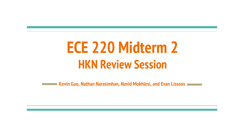## **ECE 220 Midterm 2 HKN Review Session**

**Kevin Guo, Nathan Narasimhan, Navid Mokhlesi, and Evan Lissoos**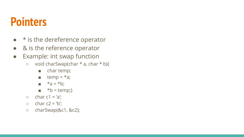### **Pointers**

- $\bullet\quad$  \* is the dereference operator
- & is the reference operator
- Example: int swap function
	- void charSwap(char \* a, char \* b){
		- char temp;
		- $\blacksquare$  temp =  $*$ a;
		- $a = *b$ ;
		- $\bullet$  \*b = temp;}
	- $\circ$  char c1 = 'a';
	- $\circ$  char c2 = 'b';
	- charSwap(&c1, &c2);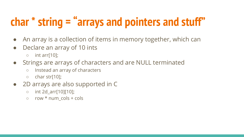## **char \* string = "arrays and pointers and stuff"**

- An array is a collection of items in memory together, which can
- Declare an array of 10 ints
	- $\circ$  int arr[10];
- Strings are arrays of characters and are NULL terminated
	- Instead an array of characters
	- char str[10];
- 2D arrays are also supported in C
	- int 2d\_arr[10][10];
	- $\circ$  row  $*$  num cols + cols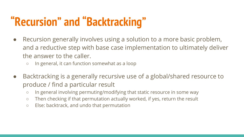## **"Recursion" and "Backtracking"**

- Recursion generally involves using a solution to a more basic problem, and a reductive step with base case implementation to ultimately deliver the answer to the caller.
	- In general, it can function somewhat as a loop
- Backtracking is a generally recursive use of a global/shared resource to produce / find a particular result
	- In general involving permuting/modifying that static resource in some way
	- Then checking if that permutation actually worked, if yes, return the result
	- Else: backtrack, and undo that permutation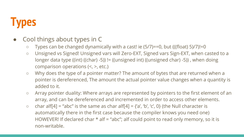### **Types**

- Cool things about types in C
	- $\circ$  Types can be changed dynamically with a cast! ie (5/7)==0, but (((float) 5)/7)!=0
	- Unsigned vs Signed! Unsigned vars will Zero-EXT, Signed vars Sign-EXT, when casted to a longer data type ((int) ((char) -5)) != ((unsigned int) ((unsigned char) -5)) , when doing comparison operations (<, >, etc.)
	- Why does the type of a pointer matter? The amount of bytes that are returned when a pointer is dereferenced, The amount the actual pointer value changes when a quantity is added to it.
	- Array pointer duality: Where arrays are represented by pointers to the first element of an array, and can be dereferenced and incremented in order to access other elements.
	- $\circ$  char alf[4] = "abc" is the same as char alf[4] = {'a', 'b', 'c', 0} (the Null character is automatically there in the first case because the compiler knows you need one) HOWEVER! If declared char  $*$  alf = "abc"; alf could point to read only memory, so it is non-writable.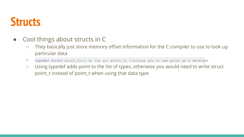### **Structs**

- Cool things about structs in C
	- They basically just store memory offset information for the C compiler to use to look up particular data
	- O typedef struct point t{int x; int y;} point t; //allows you to use point as a datatype
	- Using typedef adds point to the list of types, otherwise you would need to write struct point\_t instead of point\_t when using that data type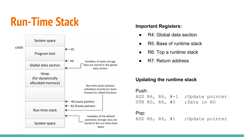### **Run-Time Stack Important Registers:**



- R4: Global data section
- R5: Base of runtime stack
- R6: Top a runtime stack
- R7: Return address

### **Updating the runtime stack**



### Pop:

ADD R6, R6, #1 ;Update pointer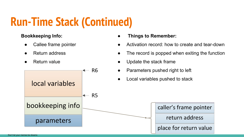### **Run-Time Stack (Continued)**

### **Bookkeeping Info:**

- Callee frame pointer
- **Return address**
- Return value



**● Things to Remember:**

- Activation record: how to create and tear-down
- The record is popped when exiting the function
- Update the stack frame
- Parameters pushed right to left
- Local variables pushed to stack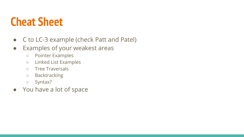### **Cheat Sheet**

- C to LC-3 example (check Patt and Patel)
- Examples of your weakest areas
	- Pointer Examples
	- Linked List Examples
	- Tree Traversals
	- Backtracking
	- Syntax?
- You have a lot of space